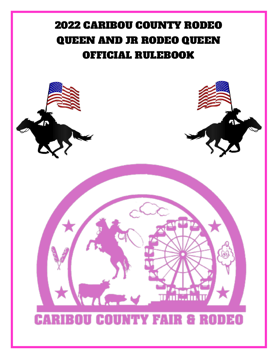# 2022 CARIBOU COUNTY RODEO QUEEN AND JR RODEO QUEEN OFFICIAL RULEBOOK

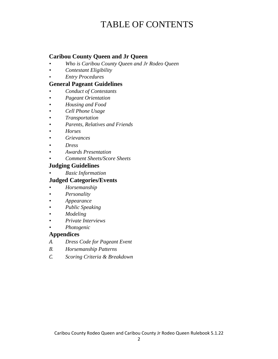## TABLE OF CONTENTS

#### **Caribou County Queen and Jr Queen**

- *• Who is Caribou County Queen and Jr Rodeo Queen*
- *• Contestant Eligibility*
- *• Entry Procedures*

#### **General Pageant Guidelines**

- *• Conduct of Contestants*
- *• Pageant Orientation*
- *• Housing and Food*
- *• Cell Phone Usage*
- *• Transportation*
- *• Parents, Relatives and Friends*
- *• Horses*
- *• Grievances*
- *• Dress*
- *• Awards Presentation*
- *• Comment Sheets/Score Sheets*

#### **Judging Guidelines**

*• Basic Information*

#### **Judged Categories/Events**

- *• Horsemanship*
- *• Personality*
- *• Appearance*
- *• Public Speaking*
- *• Modeling*
- *• Private Interviews*
- *• Photogenic*

#### **Appendices**

- *A. Dress Code for Pageant Event*
- *B. Horsemanship Patterns*
- *C. Scoring Criteria & Breakdown*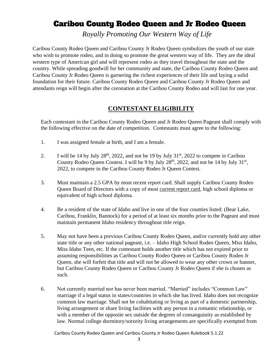## Caribou County Rodeo Queen and Jr Rodeo Queen

*Royally Promoting Our Western Way of Life*

Caribou County Rodeo Queen and Caribou County Jr Rodeo Queen symbolizes the youth of our state who wish to promote rodeo, and in doing so promote the great western way of life. They are the ideal western type of American girl and will represent rodeo as they travel throughout the state and the country. While spreading goodwill for her community and state, the Caribou County Rodeo Queen and Caribou County Jr Rodeo Queen is garnering the richest experiences of their life and laying a solid foundation for their future. Caribou County Rodeo Queen and Caribou County Jr Rodeo Queen and attendants reign will begin after the coronation at the Caribou County Rodeo and will last for one year.

#### **CONTESTANT ELIGIBILITY**

Each contestant in the Caribou County Rodeo Queen and Jr Rodeo Queen Pageant shall comply with the following effective on the date of competition. Contestants must agree to the following:

- 1. I was assigned female at birth, and I am a female.
- 2. I will be 14 by July  $28<sup>th</sup>$ , 2022, and not be 19 by July  $31<sup>st</sup>$ , 2022 to compete in Caribou County Rodeo Queen Contest. I will be 9 by July  $28<sup>th</sup>$ ,  $2022$ , and not be 14 by July  $31<sup>st</sup>$ , 2022, to compete in the Caribou County Rodeo Jr Queen Contest.
- 3. Must maintain a 2.5 GPA by most recent report card. Shall supply Caribou County Rodeo Queen Board of Directors with a copy of most current report card, high school diploma or equivalent of high school diploma.
- 4. Be a resident of the state of Idaho and live in one of the four counties listed: (Bear Lake, Caribou, Franklin, Bannock) for a period of at least six months prior to the Pageant and must maintain permanent Idaho residency throughout title reign.
- 5. May not have been a previous Caribou County Rodeo Queen, and/or currently hold any other state title or any other national pageant, i.e. – Idaho High School Rodeo Queen, Miss Idaho, Miss Idaho Teen, etc. If the contestant holds another title which has not expired prior to assuming responsibilities as Caribou County Rodeo Queen or Caribou County Rodeo Jr Queen, she will forfeit that title and will not be allowed to wear any other crown or banner, but Caribou County Rodeo Queen or Caribou County Jr Rodeo Queen if she is chosen as such.
- 6. Not currently married nor has never been married. "Married" includes "Common Law" marriage if a legal status in states/countries in which she has lived. Idaho does not recognize common law marriage. Shall not be cohabitating or living as part of a domestic partnership, living arrangement or share living facilities with any person in a romantic relationship, or with a member of the opposite sex outside the degrees of consanguinity as established by law. Normal college dormitory/sorority living arrangements are specifically exempted from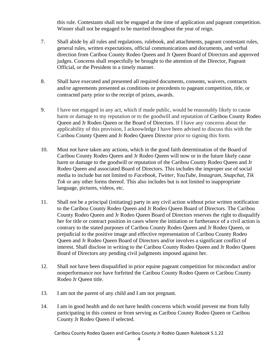this rule. Contestants shall not be engaged at the time of application and pageant competition. Winner shall not be engaged to be married throughout the year of reign.

- 7. Shall abide by all rules and regulations, rulebook, and attachments, pageant contestant rules, general rules, written expectations, official communications and documents, and verbal direction from Caribou County Rodeo Queen and Jr Queen Board of Directors and approved judges. Concerns shall respectfully be brought to the attention of the Director, Pageant Official, or the President in a timely manner.
- 8. Shall have executed and presented all required documents, consents, waivers, contracts and/or agreements presented as conditions or precedents to pageant competition, title, or contracted party prior to the receipt of prizes, awards.
- 9. I have not engaged in any act, which if made public, would be reasonably likely to cause harm or damage to my reputation or to the goodwill and reputation of Caribou County Rodeo Queen and Jr Rodeo Queen or the Board of Directors. If I have any concerns about the applicability of this provision, I acknowledge I have been advised to discuss this with the Caribou County Queen and Jr Rodeo Queen Director prior to signing this form.
- 10. Must not have taken any actions, which in the good faith determination of the Board of Caribou County Rodeo Queen and Jr Rodeo Queen will now or in the future likely cause harm or damage to the goodwill or reputation of the Caribou County Rodeo Queen and Jr Rodeo Queen and associated Board of Directors. This includes the improper use of social media to include but not limited to *Facebook, Twitter, YouTube, Instagram, Snapchat, Tik Tok* or any other forms thereof. This also includes but is not limited to inappropriate language, pictures, videos, etc.
- 11. Shall not be a principal (initiating) party in any civil action without prior written notification to the Caribou County Rodeo Queen and Jr Rodeo Queen Board of Directors. The Caribou County Rodeo Queen and Jr Rodeo Queen Board of Directors reserves the right to disqualify her for title or contract position in cases where the initiation or furtherance of a civil action is contrary to the stated purposes of Caribou County Rodeo Queen and Jr Rodeo Queen, or prejudicial to the positive image and effective representation of Caribou County Rodeo Queen and Jr Rodeo Queen Board of Directors and/or involves a significant conflict of interest. Shall disclose in writing to the Caribou County Rodeo Queen and Jr Rodeo Queen Board of Directors any pending civil judgments imposed against her.
- 12. Shall not have been disqualified in prior equine pageant competition for misconduct and/or nonperformance nor have forfeited the Caribou County Rodeo Queen or Caribou County Rodeo Jr Queen title.
- 13. I am not the parent of any child and I am not pregnant.
- 14. I am in good health and do not have health concerns which would prevent me from fully participating in this contest or from serving as Caribou County Rodeo Queen or Caribou County Jr Rodeo Queen if selected.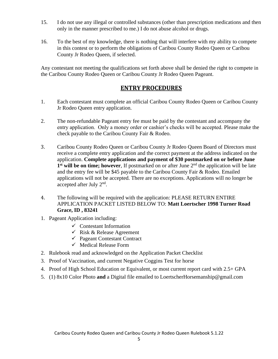- 15. I do not use any illegal or controlled substances (other than prescription medications and then only in the manner prescribed to me.) I do not abuse alcohol or drugs.
- 16. To the best of my knowledge, there is nothing that will interfere with my ability to compete in this contest or to perform the obligations of Caribou County Rodeo Queen or Caribou County Jr Rodeo Queen, if selected.

Any contestant not meeting the qualifications set forth above shall be denied the right to compete in the Caribou County Rodeo Queen or Caribou County Jr Rodeo Queen Pageant.

#### **ENTRY PROCEDURES**

- 1. Each contestant must complete an official Caribou County Rodeo Queen or Caribou County Jr Rodeo Queen entry application.
- 2. The non-refundable Pageant entry fee must be paid by the contestant and accompany the entry application. Only a money order or cashier's checks will be accepted. Please make the check payable to the Caribou County Fair & Rodeo.
- 3. Caribou County Rodeo Queen or Caribou County Jr Rodeo Queen Board of Directors must receive a complete entry application and the correct payment at the address indicated on the application. **Complete applications and payment of \$30 postmarked on or before June**  1<sup>st</sup> will be on time; however, If postmarked on or after June 2<sup>nd</sup> the application will be late and the entry fee will be \$45 payable to the Caribou County Fair & Rodeo. Emailed applications will not be accepted. There are no exceptions. Applications will no longer be accepted after July  $2<sup>nd</sup>$ .
- 4. The following will be required with the application: PLEASE RETURN ENTIRE APPLICATION PACKET LISTED BELOW TO: **Matt Loertscher 1998 Turner Road Grace, ID , 83241**
- 1. Pageant Application including:
	- $\checkmark$  Contestant Information
	- $\checkmark$  Risk & Release Agreement
	- ✓ Pageant Contestant Contract
	- $\checkmark$  Medical Release Form
- 2. Rulebook read and acknowledged on the Application Packet Checklist
- 3. Proof of Vaccination, and current Negative Coggins Test for horse
- 4. Proof of High School Education or Equivalent, or most current report card with 2.5+ GPA
- 5. (1) 8x10 Color Photo **and** a Digital file emailed to LoertscherHorsemanship@gmail.com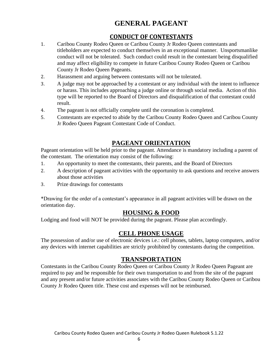## **GENERAL PAGEANT**

#### **CONDUCT OF CONTESTANTS**

- 1. Caribou County Rodeo Queen or Caribou County Jr Rodeo Queen contestants and titleholders are expected to conduct themselves in an exceptional manner. Unsportsmanlike conduct will not be tolerated. Such conduct could result in the contestant being disqualified and may affect eligibility to compete in future Caribou County Rodeo Queen or Caribou County Jr Rodeo Queen Pageants.
- 2. Harassment and arguing between contestants will not be tolerated.
- 3. A judge may not be approached by a contestant or any individual with the intent to influence or harass. This includes approaching a judge online or through social media. Action of this type will be reported to the Board of Directors and disqualification of that contestant could result.
- 4. The pageant is not officially complete until the coronation is completed.
- 5. Contestants are expected to abide by the Caribou County Rodeo Queen and Caribou County Jr Rodeo Queen Pageant Contestant Code of Conduct.

#### **PAGEANT ORIENTATION**

Pageant orientation will be held prior to the pageant. Attendance is mandatory including a parent of the contestant. The orientation may consist of the following:

- 1. An opportunity to meet the contestants, their parents, and the Board of Directors
- 2. A description of pageant activities with the opportunity to ask questions and receive answers about those activities
- 3. Prize drawings for contestants

\*Drawing for the order of a contestant's appearance in all pageant activities will be drawn on the orientation day.

#### **HOUSING & FOOD**

Lodging and food will NOT be provided during the pageant. Please plan accordingly.

#### **CELL PHONE USAGE**

The possession of and/or use of electronic devices i.e.: cell phones, tablets, laptop computers, and/or any devices with internet capabilities are strictly prohibited by contestants during the competition.

#### **TRANSPORTATION**

Contestants in the Caribou County Rodeo Queen or Caribou County Jr Rodeo Queen Pageant are required to pay and be responsible for their own transportation to and from the site of the pageant and any present and/or future activities associates with the Caribou County Rodeo Queen or Caribou County Jr Rodeo Queen title. These cost and expenses will not be reimbursed.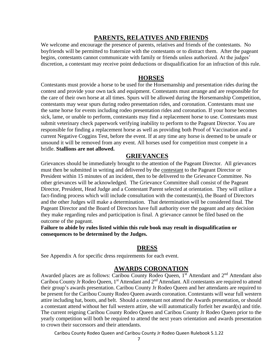#### **PARENTS, RELATIVES AND FRIENDS**

We welcome and encourage the presence of parents, relatives and friends of the contestants. No boyfriends will be permitted to fraternize with the contestants or to distract them. After the pageant begins, contestants cannot communicate with family or friends unless authorized. At the judges' discretion, a contestant may receive point deductions or disqualification for an infraction of this rule.

#### **HORSES**

Contestants must provide a horse to be used for the Horsemanship and presentation rides during the contest and provide your own tack and equipment. Contestants must arrange and are responsible for the care of their own horse at all times. Spurs will be allowed during the Horsemanship Competition, contestants may wear spurs during rodeo presentation rides, and coronation. Contestants must use the same horse for events including rodeo presentation rides and coronation. If your horse becomes sick, lame, or unable to perform, contestants may find a replacement horse to use. Contestants must submit veterinary check paperwork verifying inability to perform to the Pageant Director. You are responsible for finding a replacement horse as well as providing both Proof of Vaccination and a current Negative Coggins Test, before the event. If at any time any horse is deemed to be unsafe or unsound it will be removed from any event. All horses used for competition must compete in a bridle. **Stallions are not allowed.**

#### **GRIEVANCES**

Grievances should be immediately brought to the attention of the Pageant Director. All grievances must then be submitted in writing and delivered by the contestant to the Pageant Director or President within 15 minutes of an incident, then to be delivered to the Grievance Committee. No other grievances will be acknowledged. The Grievance Committee shall consist of the Pageant Director, President, Head Judge and a Contestant Parent selected at orientation. They will utilize a fact-finding process which will include consultation with the contestant(s), the Board of Directors and the other Judges will make a determination. That determination will be considered final. The Pageant Director and the Board of Directors have full authority over the pageant and any decision they make regarding rules and participation is final. A grievance cannot be filed based on the outcome of the pageant.

**Failure to abide by rules listed within this rule book may result in disqualification or consequences to be determined by the Judges.** 

#### **DRESS**

See Appendix A for specific dress requirements for each event.

#### **AWARDS CORONATION**

Awarded places are as follows: Caribou County Rodeo Queen, 1st Attendant and 2<sup>nd</sup> Attendant also Caribou County Jr Rodeo Queen, 1<sup>st</sup> Attendant and 2<sup>nd</sup> Attendant. All contestants are required to attend their group's awards presentation. Caribou County Jr Rodeo Queen and her attendants are required to be present for the Caribou County Rodeo Queen awards coronation. Contestants will wear full western attire including hat, boots, and belt. Should a contestant not attend the Awards presentation, or should a contestant attend without her full western attire, she will automatically forfeit her award(s) and title. The current reigning Caribou County Rodeo Queen and Caribou County Jr Rodeo Queen prior to the yearly competition will both be required to attend the next years orientation and awards presentation to crown their successors and their attendants.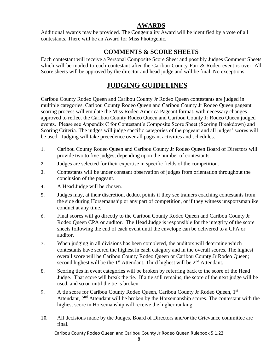#### **AWARDS**

Additional awards may be provided. The Congeniality Award will be identified by a vote of all contestants. There will be an Award for Miss Photogenic.

#### **COMMENTS & SCORE SHEETS**

Each contestant will receive a Personal Composite Score Sheet and possibly Judges Comment Sheets which will be mailed to each contestant after the Caribou County Fair & Rodeo event is over. All Score sheets will be approved by the director and head judge and will be final. No exceptions.

## **JUDGING GUIDELINES**

Caribou County Rodeo Queen and Caribou County Jr Rodeo Queen contestants are judged in multiple categories. Caribou County Rodeo Queen and Caribou County Jr Rodeo Queen pageant scoring process will emulate the Miss Rodeo America Pageant format, with necessary changes approved to reflect the Caribou County Rodeo Queen and Caribou County Jr Rodeo Queen judged events. Please see Appendix C for Contestant's Composite Score Sheet (Scoring Breakdown) and Scoring Criteria. The judges will judge specific categories of the pageant and all judges' scores will be used. Judging will take precedence over all pageant activities and schedules.

- 1. Caribou County Rodeo Queen and Caribou County Jr Rodeo Queen Board of Directors will provide two to five judges, depending upon the number of contestants.
- 2. Judges are selected for their expertise in specific fields of the competition.
- 3. Contestants will be under constant observation of judges from orientation throughout the conclusion of the pageant.
- 4. A Head Judge will be chosen.
- 5. Judges may, at their discretion, deduct points if they see trainers coaching contestants from the side during Horsemanship or any part of competition, or if they witness unsportsmanlike conduct at any time.
- 6. Final scores will go directly to the Caribou County Rodeo Queen and Caribou County Jr Rodeo Queen CPA or auditor. The Head Judge is responsible for the integrity of the score sheets following the end of each event until the envelope can be delivered to a CPA or auditor.
- 7. When judging in all divisions has been completed, the auditors will determine which contestants have scored the highest in each category and in the overall scores. The highest overall score will be Caribou County Rodeo Queen or Caribou County Jr Rodeo Queen; second highest will be the  $1<sup>st</sup>$  Attendant. Third highest will be  $2<sup>nd</sup>$  Attendant.
- 8. Scoring ties in event categories will be broken by referring back to the score of the Head Judge. That score will break the tie. If a tie still remains, the score of the next judge will be used, and so on until the tie is broken.
- 9. A tie score for Caribou County Rodeo Queen, Caribou County Jr Rodeo Queen, 1st Attendant,  $2<sup>nd</sup>$  Attendant will be broken by the Horsemanship scores. The contestant with the highest score in Horsemanship will receive the higher ranking.
- 10. All decisions made by the Judges, Board of Directors and/or the Grievance committee are final.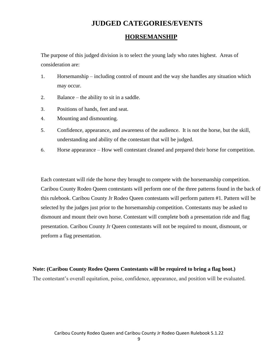## **JUDGED CATEGORIES/EVENTS**

#### **HORSEMANSHIP**

The purpose of this judged division is to select the young lady who rates highest. Areas of consideration are:

- 1. Horsemanship including control of mount and the way she handles any situation which may occur.
- 2. Balance the ability to sit in a saddle.
- 3. Positions of hands, feet and seat.
- 4. Mounting and dismounting.
- 5. Confidence, appearance, and awareness of the audience. It is not the horse, but the skill, understanding and ability of the contestant that will be judged.
- 6. Horse appearance How well contestant cleaned and prepared their horse for competition.

Each contestant will ride the horse they brought to compete with the horsemanship competition. Caribou County Rodeo Queen contestants will perform one of the three patterns found in the back of this rulebook. Caribou County Jr Rodeo Queen contestants will perform pattern #1. Pattern will be selected by the judges just prior to the horsemanship competition. Contestants may be asked to dismount and mount their own horse. Contestant will complete both a presentation ride and flag presentation. Caribou County Jr Queen contestants will not be required to mount, dismount, or preform a flag presentation.

#### **Note: (Caribou County Rodeo Queen Contestants will be required to bring a flag boot.)**

The contestant's overall equitation, poise, confidence, appearance, and position will be evaluated.

9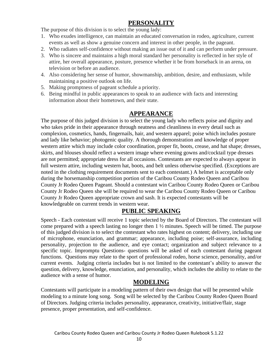#### **PERSONALITY**

The purpose of this division is to select the young lady:

- 1. Who exudes intelligence, can maintain an educated conversation in rodeo, agriculture, current events as well as show a genuine concern and interest in other people, in the pageant.
- 2. Who radiates self-confidence without making an issue out of it and can perform under pressure.
- 3. Who is sincere and maintains a high moral standard her personality is reflected in her style of attire, her overall appearance, posture, presence whether it be from horseback in an arena, on television or before an audience.
- 4. Also considering her sense of humor, showmanship, ambition, desire, and enthusiasm, while maintaining a positive outlook on life.
- 5. Making promptness of pageant schedule a priority.
- 6. Being mindful in public appearances to speak to an audience with facts and interesting information about their hometown, and their state.

#### **APPEARANCE**

The purpose of this judged division is to select the young lady who reflects poise and dignity and who takes pride in their appearance through neatness and cleanliness in every detail such as complexion, cosmetics, hands, fingernails, hair, and western apparel; poise which includes posture and lady like behavior; photogenic quality. A thorough demonstration and knowledge of proper western attire which may include color coordination, proper fit, boots, crease, and hat shape; dresses, skirts, and blouses should reflect a western image where evening gowns and/cocktail type dresses are not permitted; appropriate dress for all occasions. Contestants are expected to always appear in full western attire, including western hat, boots, and belt unless otherwise specified. (Exceptions are noted in the clothing requirement documents sent to each contestant.) A helmet is acceptable only during the horsemanship competition portion of the Caribou County Rodeo Queen and Caribou County Jr Rodeo Queen Pageant. Should a contestant win Caribou County Rodeo Queen or Caribou County Jr Rodeo Queen she will be required to wear the Caribou County Rodeo Queen or Caribou County Jr Rodeo Queen appropriate crown and sash. It is expected contestants will be knowledgeable on current trends in western wear.

#### **PUBLIC SPEAKING**

Speech - Each contestant will receive 1 topic selected by the Board of Directors. The contestant will come prepared with a speech lasting no longer then  $1 \frac{1}{2}$  minutes. Speech will be timed. The purpose of this judged division is to select the contestant who rates highest on content; delivery, including use of microphone, enunciation, and grammar; appearance, including poise; self-assurance, including personality, projection to the audience, and eye contact; organization and subject relevance to a specific topic. Impromptu Questions- questions will be asked of each contestant during pageant functions. Questions may relate to the sport of professional rodeo, horse science, personality, and/or current events. Judging criteria includes but is not limited to the contestant's ability to answer the question, delivery, knowledge, enunciation, and personality, which includes the ability to relate to the audience with a sense of humor.

#### **MODELING**

Contestants will participate in a modeling pattern of their own design that will be presented while modeling to a minute long song. Song will be selected by the Caribou County Rodeo Queen Board of Directors. Judging criteria includes personality, appearance, creativity, initiative/flair, stage presence, proper presentation, and self-confidence.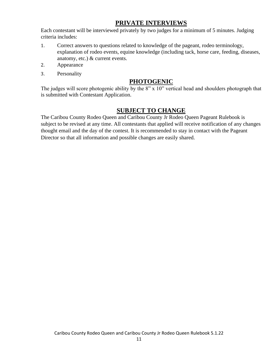#### **PRIVATE INTERVIEWS**

Each contestant will be interviewed privately by two judges for a minimum of 5 minutes. Judging criteria includes:

- 1. Correct answers to questions related to knowledge of the pageant, rodeo terminology, explanation of rodeo events, equine knowledge (including tack, horse care, feeding, diseases, anatomy, etc.) & current events.
- 2. Appearance
- 3. Personality

#### **PHOTOGENIC**

The judges will score photogenic ability by the 8" x 10" vertical head and shoulders photograph that is submitted with Contestant Application.

#### **SUBJECT TO CHANGE**

The Caribou County Rodeo Queen and Caribou County Jr Rodeo Queen Pageant Rulebook is subject to be revised at any time. All contestants that applied will receive notification of any changes thought email and the day of the contest. It is recommended to stay in contact with the Pageant Director so that all information and possible changes are easily shared.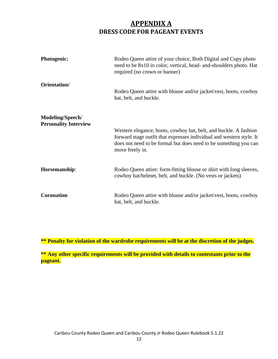## **APPENDIX A DRESS CODE FOR PAGEANT EVENTS**

| <b>Photogenic:</b>                               | Rodeo Queen attire of your choice, Both Digital and Copy photo<br>need to be 8x10 in color, vertical, head- and-shoulders photo. Hat<br>required (no crown or banner)                                                           |  |  |
|--------------------------------------------------|---------------------------------------------------------------------------------------------------------------------------------------------------------------------------------------------------------------------------------|--|--|
| Orientation/                                     | Rodeo Queen attire with blouse and/or jacket/vest, boots, cowboy<br>hat, belt, and buckle.                                                                                                                                      |  |  |
| Modeling/Speech/<br><b>Personality Interview</b> | Western elegance, boots, cowboy hat, belt, and buckle. A fashion<br>forward stage outfit that expresses individual and western style. It<br>does not need to be formal but does need to be something you can<br>move freely in. |  |  |
| Horsemanship:                                    | Rodeo Queen attire: form-fitting blouse or shirt with long sleeves,<br>cowboy hat/helmet, belt, and buckle. (No vests or jackets)                                                                                               |  |  |
| <b>Coronation</b>                                | Rodeo Queen attire with blouse and/or jacket/vest, boots, cowboy<br>hat, belt, and buckle.                                                                                                                                      |  |  |

**\*\* Penalty for violation of the wardrobe requirements will be at the discretion of the judges.**

**\*\* Any other specific requirements will be provided with details to contestants prior to the pageant.**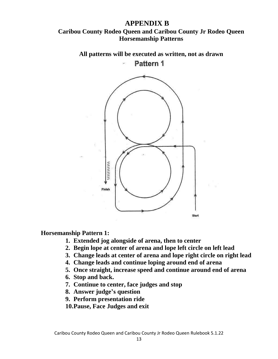#### **APPENDIX B Caribou County Rodeo Queen and Caribou County Jr Rodeo Queen Horsemanship Patterns**

**All patterns will be executed as written, not as drawn** Pattern 1



#### **Horsemanship Pattern 1:**

- **1. Extended jog alongside of arena, then to center**
- **2. Begin lope at center of arena and lope left circle on left lead**
- **3. Change leads at center of arena and lope right circle on right lead**
- **4. Change leads and continue loping around end of arena**
- **5. Once straight, increase speed and continue around end of arena**
- **6. Stop and back.**
- **7. Continue to center, face judges and stop**
- **8. Answer judge's question**
- **9. Perform presentation ride**
- **10.Pause, Face Judges and exit**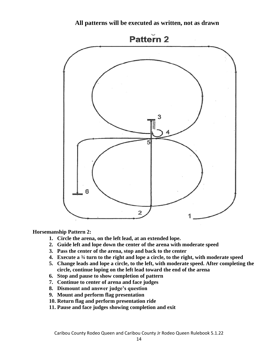**All patterns will be executed as written, not as drawn**



**Horsemanship Pattern 2:**

- **1. Circle the arena, on the left lead, at an extended lope.**
- **2. Guide left and lope down the center of the arena with moderate speed**
- **3. Pass the center of the arena, stop and back to the center**
- **4. Execute a ¾ turn to the right and lope a circle, to the right, with moderate speed**
- **5. Change leads and lope a circle, to the left, with moderate speed. After completing the circle, continue loping on the left lead toward the end of the arena**
- **6. Stop and pause to show completion of pattern**
- **7. Continue to center of arena and face judges**
- **8. Dismount and answer judge's question**
- **9. Mount and perform flag presentation**
- **10. Return flag and perform presentation ride**
- **11. Pause and face judges showing completion and exit**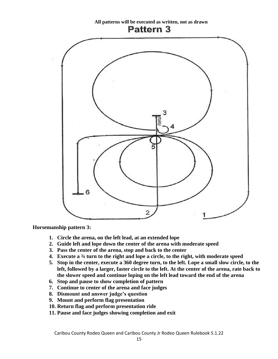**All patterns will be executed as written, not as drawn** Pattern 3



**Horsemanship pattern 3:**

- **1. Circle the arena, on the left lead, at an extended lope**
- **2. Guide left and lope down the center of the arena with moderate speed**
- **3. Pass the center of the arena, stop and back to the center**
- **4. Execute a ¾ turn to the right and lope a circle, to the right, with moderate speed**
- **5. Stop in the center, execute a 360 degree turn, to the left. Lope a small slow circle, to the left, followed by a larger, faster circle to the left. At the center of the arena, rate back to the slower speed and continue loping on the left lead toward the end of the arena**
- **6. Stop and pause to show completion of pattern**
- **7. Continue to center of the arena and face judges**
- **8. Dismount and answer judge's question**
- **9. Mount and perform flag presentation**
- **10. Return flag and perform presentation ride**
- **11. Pause and face judges showing completion and exit**